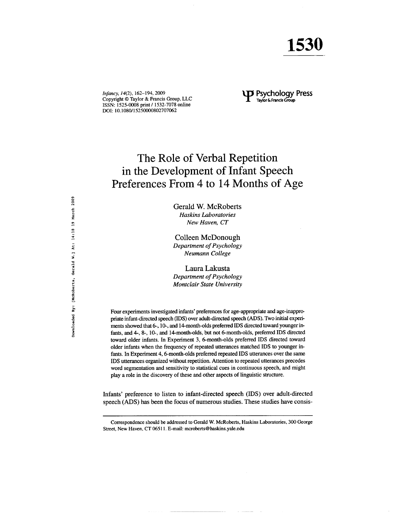Infancy, 14(2), 162-194, 2009 Copyright © Taylor & Francis Group, LLC ISSN: 1525-0008 print / 1532-7078 online DOI: 10.1080/15250000802707062

# **J** Psychology Press Taylor & Francis Group

# The Role of Verbal Repetition in the Development of Infant Speech Preferences From 4 to 14 Months of Age

Gerald W. McRoberts **Haskins Laboratories** New Haven, CT

Colleen McDonough Department of Psychology Neumann College

Laura Lakusta Department of Psychology **Montclair State University** 

Four experiments investigated infants' preferences for age-appropriate and age-inappropriate infant-directed speech (IDS) over adult-directed speech (ADS). Two initial experiments showed that 6-, 10-, and 14-month-olds preferred IDS directed toward younger infants, and 4-, 8-, 10-, and 14-month-olds, but not 6-month-olds, preferred IDS directed toward older infants. In Experiment 3, 6-month-olds preferred IDS directed toward older infants when the frequency of repeated utterances matched IDS to younger infants. In Experiment 4, 6-month-olds preferred repeated IDS utterances over the same IDS utterances organized without repetition. Attention to repeated utterances precedes word segmentation and sensitivity to statistical cues in continuous speech, and might play a role in the discovery of these and other aspects of linguistic structure.

Infants' preference to listen to infant-directed speech (IDS) over adult-directed speech (ADS) has been the focus of numerous studies. These studies have consis-

Correspondence should be addressed to Gerald W. McRoberts, Haskins Laboratories, 300 George Street, New Haven, CT 06511. E-mail: mcroberts@haskins.yale.edu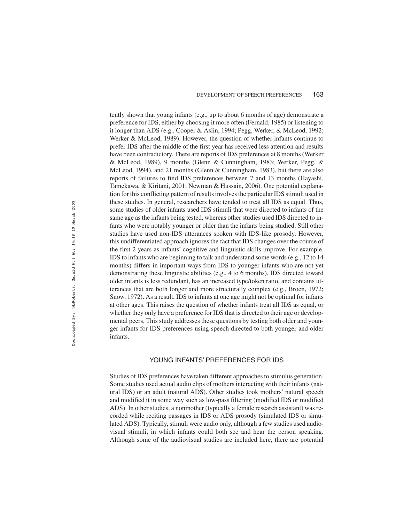tently shown that young infants (e.g., up to about 6 months of age) demonstrate a preference for IDS, either by choosing it more often (Fernald, 1985) or listening to it longer than ADS (e.g., Cooper & Aslin, 1994; Pegg, Werker, & McLeod, 1992; Werker & McLeod, 1989). However, the question of whether infants continue to prefer IDS after the middle of the first year has received less attention and results have been contradictory. There are reports of IDS preferences at 8 months (Werker & McLeod, 1989), 9 months (Glenn & Cunningham, 1983; Werker, Pegg, & McLeod, 1994), and 21 months (Glenn & Cunningham, 1983), but there are also reports of failures to find IDS preferences between 7 and 13 months (Hayashi, Tamekawa, & Kiritani, 2001; Newman & Hussain, 2006). One potential explanation for this conflicting pattern of results involves the particular IDS stimuli used in these studies. In general, researchers have tended to treat all IDS as equal. Thus, some studies of older infants used IDS stimuli that were directed to infants of the same age as the infants being tested, whereas other studies used IDS directed to infants who were notably younger or older than the infants being studied. Still other studies have used non-IDS utterances spoken with IDS-like prosody. However, this undifferentiated approach ignores the fact that IDS changes over the course of the first 2 years as infants' cognitive and linguistic skills improve. For example, IDS to infants who are beginning to talk and understand some words (e.g., 12 to 14 months) differs in important ways from IDS to younger infants who are not yet demonstrating these linguistic abilities (e.g., 4 to 6 months). IDS directed toward older infants is less redundant, has an increased type/token ratio, and contains utterances that are both longer and more structurally complex (e.g., Broen, 1972; Snow, 1972). As a result, IDS to infants at one age might not be optimal for infants at other ages. This raises the question of whether infants treat all IDS as equal, or whether they only have a preference for IDS that is directed to their age or developmental peers. This study addresses these questions by testing both older and younger infants for IDS preferences using speech directed to both younger and older infants.

# YOUNG INFANTS' PREFERENCES FOR IDS

Studies of IDS preferences have taken different approaches to stimulus generation. Some studies used actual audio clips of mothers interacting with their infants (natural IDS) or an adult (natural ADS). Other studies took mothers' natural speech and modified it in some way such as low-pass filtering (modified IDS or modified ADS). In other studies, a nonmother (typically a female research assistant) was recorded while reciting passages in IDS or ADS prosody (simulated IDS or simulated ADS). Typically, stimuli were audio only, although a few studies used audiovisual stimuli, in which infants could both see and hear the person speaking. Although some of the audiovisual studies are included here, there are potential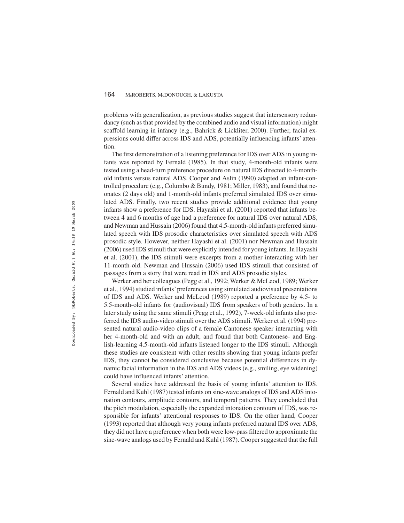problems with generalization, as previous studies suggest that intersensory redundancy (such as that provided by the combined audio and visual information) might scaffold learning in infancy (e.g., Bahrick & Lickliter, 2000). Further, facial expressions could differ across IDS and ADS, potentially influencing infants' attention.

The first demonstration of a listening preference for IDS over ADS in young infants was reported by Fernald (1985). In that study, 4-month-old infants were tested using a head-turn preference procedure on natural IDS directed to 4-monthold infants versus natural ADS. Cooper and Aslin (1990) adapted an infant-controlled procedure (e.g., Columbo & Bundy, 1981; Miller, 1983), and found that neonates (2 days old) and 1-month-old infants preferred simulated IDS over simulated ADS. Finally, two recent studies provide additional evidence that young infants show a preference for IDS. Hayashi et al. (2001) reported that infants between 4 and 6 months of age had a preference for natural IDS over natural ADS, and Newman and Hussain (2006) found that 4.5-month-old infants preferred simulated speech with IDS prosodic characteristics over simulated speech with ADS prosodic style. However, neither Hayashi et al. (2001) nor Newman and Hussain (2006) used IDS stimuli that were explicitly intended for young infants. In Hayashi et al. (2001), the IDS stimuli were excerpts from a mother interacting with her 11-month-old. Newman and Hussain (2006) used IDS stimuli that consisted of passages from a story that were read in IDS and ADS prosodic styles.

Werker and her colleagues (Pegg et al., 1992; Werker & McLeod, 1989; Werker et al., 1994) studied infants'preferences using simulated audiovisual presentations of IDS and ADS. Werker and McLeod (1989) reported a preference by 4.5- to 5.5-month-old infants for (audiovisual) IDS from speakers of both genders. In a later study using the same stimuli (Pegg et al., 1992), 7-week-old infants also preferred the IDS audio-video stimuli over the ADS stimuli. Werker et al. (1994) presented natural audio-video clips of a female Cantonese speaker interacting with her 4-month-old and with an adult, and found that both Cantonese- and English-learning 4.5-month-old infants listened longer to the IDS stimuli. Although these studies are consistent with other results showing that young infants prefer IDS, they cannot be considered conclusive because potential differences in dynamic facial information in the IDS and ADS videos (e.g., smiling, eye widening) could have influenced infants' attention.

Several studies have addressed the basis of young infants' attention to IDS. Fernald and Kuhl (1987) tested infants on sine-wave analogs of IDS and ADS intonation contours, amplitude contours, and temporal patterns. They concluded that the pitch modulation, especially the expanded intonation contours of IDS, was responsible for infants' attentional responses to IDS. On the other hand, Cooper (1993) reported that although very young infants preferred natural IDS over ADS, they did not have a preference when both were low-pass filtered to approximate the sine-wave analogs used by Fernald and Kuhl (1987). Cooper suggested that the full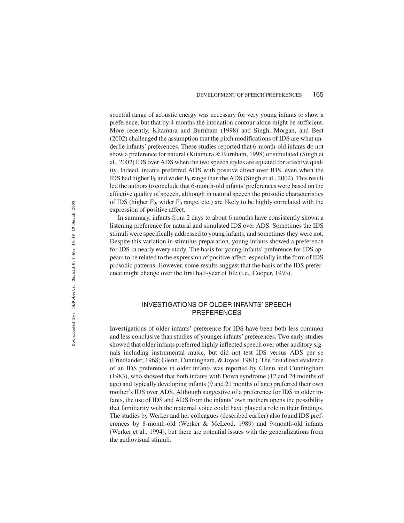spectral range of acoustic energy was necessary for very young infants to show a preference, but that by 4 months the intonation contour alone might be sufficient. More recently, Kitamura and Burnham (1998) and Singh, Morgan, and Best (2002) challenged the assumption that the pitch modifications of IDS are what underlie infants' preferences. These studies reported that 6-month-old infants do not show a preference for natural (Kitamura & Burnham, 1998) or simulated (Singh et al., 2002) IDS over ADS when the two speech styles are equated for affective quality. Indeed, infants preferred ADS with positive affect over IDS, even when the IDS had higher  $F_0$  and wider  $F_0$  range than the ADS (Singh et al., 2002). This result led the authors to conclude that 6-month-old infants'preferences were based on the affective quality of speech, although in natural speech the prosodic characteristics of IDS (higher  $F_0$ , wider  $F_0$  range, etc.) are likely to be highly correlated with the expression of positive affect.

In summary, infants from 2 days to about 6 months have consistently shown a listening preference for natural and simulated IDS over ADS. Sometimes the IDS stimuli were specifically addressed to young infants, and sometimes they were not. Despite this variation in stimulus preparation, young infants showed a preference for IDS in nearly every study. The basis for young infants' preference for IDS appears to be related to the expression of positive affect, especially in the form of IDS prosodic patterns. However, some results suggest that the basis of the IDS preference might change over the first half-year of life (i.e., Cooper, 1993).

# INVESTIGATIONS OF OLDER INFANTS' SPEECH PREFERENCES

Investigations of older infants' preference for IDS have been both less common and less conclusive than studies of younger infants' preferences. Two early studies showed that older infants preferred highly inflected speech over other auditory signals including instrumental music, but did not test IDS versus ADS per se (Friedlander, 1968; Glenn, Cunningham, & Joyce, 1981). The first direct evidence of an IDS preference in older infants was reported by Glenn and Cunningham (1983), who showed that both infants with Down syndrome (12 and 24 months of age) and typically developing infants (9 and 21 months of age) preferred their own mother's IDS over ADS. Although suggestive of a preference for IDS in older infants, the use of IDS and ADS from the infants' own mothers opens the possibility that familiarity with the maternal voice could have played a role in their findings. The studies by Werker and her colleagues (described earlier) also found IDS preferences by 8-month-old (Werker & McLeod, 1989) and 9-month-old infants (Werker et al., 1994), but there are potential issues with the generalizations from the audiovisual stimuli.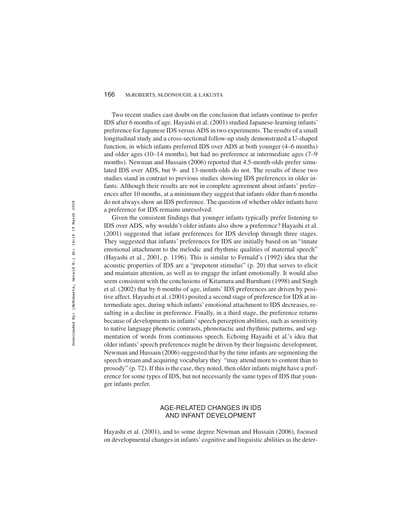Two recent studies cast doubt on the conclusion that infants continue to prefer IDS after 6 months of age. Hayashi et al. (2001) studied Japanese-learning infants' preference for Japanese IDS versus ADS in two experiments. The results of a small longitudinal study and a cross-sectional follow-up study demonstrated a U-shaped function, in which infants preferred IDS over ADS at both younger (4–6 months) and older ages (10–14 months), but had no preference at intermediate ages (7–9 months). Newman and Hussain (2006) reported that 4.5-month-olds prefer simulated IDS over ADS, but 9- and 13-month-olds do not. The results of these two studies stand in contrast to previous studies showing IDS preferences in older infants. Although their results are not in complete agreement about infants' preferences after 10 months, at a minimum they suggest that infants older than 6 months do not always show an IDS preference. The question of whether older infants have a preference for IDS remains unresolved.

Given the consistent findings that younger infants typically prefer listening to IDS over ADS, why wouldn't older infants also show a preference? Hayashi et al. (2001) suggested that infant preferences for IDS develop through three stages. They suggested that infants' preferences for IDS are initially based on an "innate emotional attachment to the melodic and rhythmic qualities of maternal speech" (Hayashi et al., 2001, p. 1196). This is similar to Fernald's (1992) idea that the acoustic properties of IDS are a "prepotent stimulus" (p. 20) that serves to elicit and maintain attention, as well as to engage the infant emotionally. It would also seem consistent with the conclusions of Kitamura and Burnham (1998) and Singh et al. (2002) that by 6 months of age, infants' IDS preferences are driven by positive affect. Hayashi et al. (2001) posited a second stage of preference for IDS at intermediate ages, during which infants' emotional attachment to IDS decreases, resulting in a decline in preference. Finally, in a third stage, the preference returns because of developments in infants' speech perception abilities, such as sensitivity to native language phonetic contrasts, phonotactic and rhythmic patterns, and segmentation of words from continuous speech. Echoing Hayashi et al.'s idea that older infants' speech preferences might be driven by their linguistic development, Newman and Hussain (2006) suggested that by the time infants are segmenting the speech stream and acquiring vocabulary they "may attend more to content than to prosody" (p. 72). If this is the case, they noted, then older infants might have a preference for some types of IDS, but not necessarily the same types of IDS that younger infants prefer.

# AGE-RELATED CHANGES IN IDS AND INFANT DEVELOPMENT

Hayashi et al. (2001), and to some degree Newman and Hussain (2006), focused on developmental changes in infants' cognitive and linguistic abilities as the deter-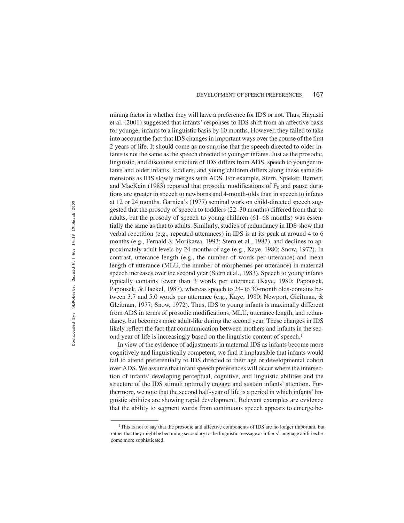mining factor in whether they will have a preference for IDS or not. Thus, Hayashi et al. (2001) suggested that infants' responses to IDS shift from an affective basis for younger infants to a linguistic basis by 10 months. However, they failed to take into account the fact that IDS changes in important ways over the course of the first 2 years of life. It should come as no surprise that the speech directed to older infants is not the same as the speech directed to younger infants. Just as the prosodic, linguistic, and discourse structure of IDS differs from ADS, speech to younger infants and older infants, toddlers, and young children differs along these same dimensions as IDS slowly merges with ADS. For example, Stern, Spieker, Barnett, and MacKain (1983) reported that prosodic modifications of  $F_0$  and pause durations are greater in speech to newborns and 4-month-olds than in speech to infants at 12 or 24 months. Garnica's (1977) seminal work on child-directed speech suggested that the prosody of speech to toddlers (22–30 months) differed from that to adults, but the prosody of speech to young children (61–68 months) was essentially the same as that to adults. Similarly, studies of redundancy in IDS show that verbal repetition (e.g., repeated utterances) in IDS is at its peak at around 4 to 6 months (e.g., Fernald & Morikawa, 1993; Stern et al., 1983), and declines to approximately adult levels by 24 months of age (e.g., Kaye, 1980; Snow, 1972). In contrast, utterance length (e.g., the number of words per utterance) and mean length of utterance (MLU, the number of morphemes per utterance) in maternal speech increases over the second year (Stern et al., 1983). Speech to young infants typically contains fewer than 3 words per utterance (Kaye, 1980; Papousek, Papousek, & Haekel, 1987), whereas speech to 24- to 30-month olds-contains between 3.7 and 5.0 words per utterance (e.g., Kaye, 1980; Newport, Gleitman, & Gleitman, 1977; Snow, 1972). Thus, IDS to young infants is maximally different from ADS in terms of prosodic modifications, MLU, utterance length, and redundancy, but becomes more adult-like during the second year. These changes in IDS likely reflect the fact that communication between mothers and infants in the second year of life is increasingly based on the linguistic content of speech.<sup>1</sup>

In view of the evidence of adjustments in maternal IDS as infants become more cognitively and linguistically competent, we find it implausible that infants would fail to attend preferentially to IDS directed to their age or developmental cohort over ADS. We assume that infant speech preferences will occur where the intersection of infants' developing perceptual, cognitive, and linguistic abilities and the structure of the IDS stimuli optimally engage and sustain infants' attention. Furthermore, we note that the second half-year of life is a period in which infants' linguistic abilities are showing rapid development. Relevant examples are evidence that the ability to segment words from continuous speech appears to emerge be-

<sup>&</sup>lt;sup>1</sup>This is not to say that the prosodic and affective components of IDS are no longer important, but rather that they might be becoming secondary to the linguistic message as infants'language abilities become more sophisticated.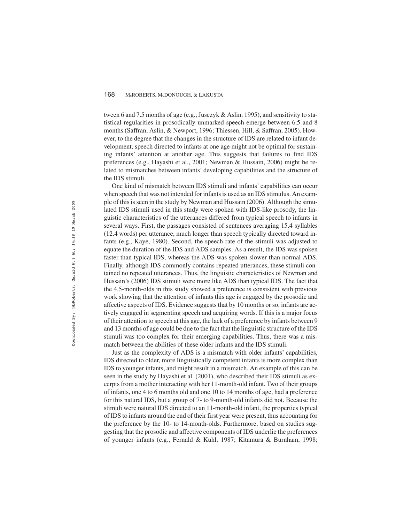tween 6 and 7.5 months of age (e.g., Jusczyk & Aslin, 1995), and sensitivity to statistical regularities in prosodically unmarked speech emerge between 6.5 and 8 months (Saffran, Aslin, & Newport, 1996; Thiessen, Hill, & Saffran, 2005). However, to the degree that the changes in the structure of IDS are related to infant development, speech directed to infants at one age might not be optimal for sustaining infants' attention at another age. This suggests that failures to find IDS preferences (e.g., Hayashi et al., 2001; Newman & Hussain, 2006) might be related to mismatches between infants' developing capabilities and the structure of the IDS stimuli.

One kind of mismatch between IDS stimuli and infants' capabilities can occur when speech that was not intended for infants is used as an IDS stimulus. An example of this is seen in the study by Newman and Hussain (2006). Although the simulated IDS stimuli used in this study were spoken with IDS-like prosody, the linguistic characteristics of the utterances differed from typical speech to infants in several ways. First, the passages consisted of sentences averaging 15.4 syllables (12.4 words) per utterance, much longer than speech typically directed toward infants (e.g., Kaye, 1980). Second, the speech rate of the stimuli was adjusted to equate the duration of the IDS and ADS samples. As a result, the IDS was spoken faster than typical IDS, whereas the ADS was spoken slower than normal ADS. Finally, although IDS commonly contains repeated utterances, these stimuli contained no repeated utterances. Thus, the linguistic characteristics of Newman and Hussain's (2006) IDS stimuli were more like ADS than typical IDS. The fact that the 4.5-month-olds in this study showed a preference is consistent with previous work showing that the attention of infants this age is engaged by the prosodic and affective aspects of IDS. Evidence suggests that by 10 months or so, infants are actively engaged in segmenting speech and acquiring words. If this is a major focus of their attention to speech at this age, the lack of a preference by infants between 9 and 13 months of age could be due to the fact that the linguistic structure of the IDS stimuli was too complex for their emerging capabilities. Thus, there was a mismatch between the abilities of these older infants and the IDS stimuli.

Just as the complexity of ADS is a mismatch with older infants' capabilities, IDS directed to older, more linguistically competent infants is more complex than IDS to younger infants, and might result in a mismatch. An example of this can be seen in the study by Hayashi et al. (2001), who described their IDS stimuli as excerpts from a mother interacting with her 11-month-old infant. Two of their groups of infants, one 4 to 6 months old and one 10 to 14 months of age, had a preference for this natural IDS, but a group of 7- to 9-month-old infants did not. Because the stimuli were natural IDS directed to an 11-month-old infant, the properties typical of IDS to infants around the end of their first year were present, thus accounting for the preference by the 10- to 14-month-olds. Furthermore, based on studies suggesting that the prosodic and affective components of IDS underlie the preferences of younger infants (e.g., Fernald & Kuhl, 1987; Kitamura & Burnham, 1998;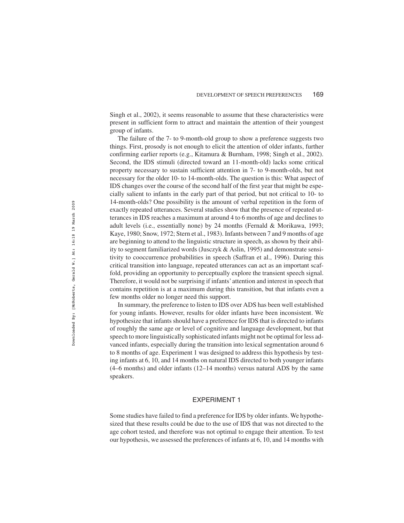Singh et al., 2002), it seems reasonable to assume that these characteristics were present in sufficient form to attract and maintain the attention of their youngest group of infants.

The failure of the 7- to 9-month-old group to show a preference suggests two things. First, prosody is not enough to elicit the attention of older infants, further confirming earlier reports (e.g., Kitamura & Burnham, 1998; Singh et al., 2002). Second, the IDS stimuli (directed toward an 11-month-old) lacks some critical property necessary to sustain sufficient attention in 7- to 9-month-olds, but not necessary for the older 10- to 14-month-olds. The question is this: What aspect of IDS changes over the course of the second half of the first year that might be especially salient to infants in the early part of that period, but not critical to 10- to 14-month-olds? One possibility is the amount of verbal repetition in the form of exactly repeated utterances. Several studies show that the presence of repeated utterances in IDS reaches a maximum at around 4 to 6 months of age and declines to adult levels (i.e., essentially none) by 24 months (Fernald & Morikawa, 1993; Kaye, 1980; Snow, 1972; Stern et al., 1983). Infants between 7 and 9 months of age are beginning to attend to the linguistic structure in speech, as shown by their ability to segment familiarized words (Jusczyk & Aslin, 1995) and demonstrate sensitivity to cooccurrence probabilities in speech (Saffran et al., 1996). During this critical transition into language, repeated utterances can act as an important scaffold, providing an opportunity to perceptually explore the transient speech signal. Therefore, it would not be surprising if infants'attention and interest in speech that contains repetition is at a maximum during this transition, but that infants even a few months older no longer need this support.

In summary, the preference to listen to IDS over ADS has been well established for young infants. However, results for older infants have been inconsistent. We hypothesize that infants should have a preference for IDS that is directed to infants of roughly the same age or level of cognitive and language development, but that speech to more linguistically sophisticated infants might not be optimal for less advanced infants, especially during the transition into lexical segmentation around 6 to 8 months of age. Experiment 1 was designed to address this hypothesis by testing infants at 6, 10, and 14 months on natural IDS directed to both younger infants (4–6 months) and older infants (12–14 months) versus natural ADS by the same speakers.

# EXPERIMENT 1

Some studies have failed to find a preference for IDS by older infants. We hypothesized that these results could be due to the use of IDS that was not directed to the age cohort tested, and therefore was not optimal to engage their attention. To test our hypothesis, we assessed the preferences of infants at 6, 10, and 14 months with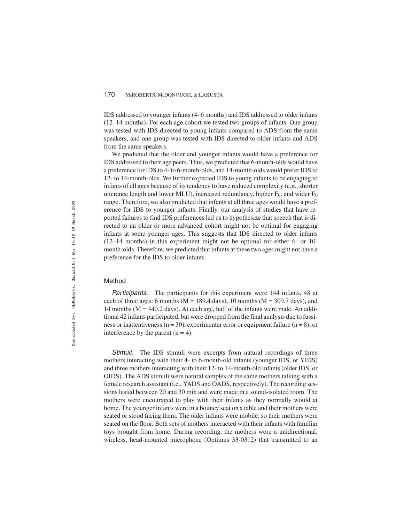IDS addressed to younger infants (4–6 months) and IDS addressed to older infants (12–14 months). For each age cohort we tested two groups of infants. One group was tested with IDS directed to young infants compared to ADS from the same speakers, and one group was tested with IDS directed to older infants and ADS from the same speakers.

We predicted that the older and younger infants would have a preference for IDS addressed to their age peers. Thus, we predicted that 6-month-olds would have a preference for IDS to 4- to 6-month-olds, and 14-month-olds would prefer IDS to 12- to 14-month-olds. We further expected IDS to young infants to be engaging to infants of all ages because of its tendency to have reduced complexity (e.g., shorter utterance length and lower MLU), increased redundancy, higher  $F_0$ , and wider  $F_0$ range. Therefore, we also predicted that infants at all three ages would have a preference for IDS to younger infants. Finally, our analysis of studies that have reported failures to find IDS preferences led us to hypothesize that speech that is directed to an older or more advanced cohort might not be optimal for engaging infants at some younger ages. This suggests that IDS directed to older infants (12–14 months) in this experiment might not be optimal for either 6- or 10 month-olds. Therefore, we predicted that infants at these two ages might not have a preference for the IDS to older infants.

## Method

Participants. The participants for this experiment were 144 infants, 48 at each of three ages: 6 months ( $M = 189.4$  days), 10 months ( $M = 309.7$  days), and 14 months ( $M = 440.2$  days). At each age, half of the infants were male. An additional 42 infants participated, but were dropped from the final analysis due to fussiness or inattentiveness ( $n = 30$ ), experimenter error or equipment failure ( $n = 8$ ), or interference by the parent  $(n = 4)$ .

Stimuli. The IDS stimuli were excerpts from natural recordings of three mothers interacting with their 4- to 6-month-old infants (younger IDS, or YIDS) and three mothers interacting with their 12- to 14-month-old infants (older IDS, or OIDS). The ADS stimuli were natural samples of the same mothers talking with a female research assistant (i.e., YADS and OADS, respectively). The recording sessions lasted between 20 and 30 min and were made in a sound-isolated room. The mothers were encouraged to play with their infants as they normally would at home. The younger infants were in a bouncy seat on a table and their mothers were seated or stood facing them. The older infants were mobile, so their mothers were seated on the floor. Both sets of mothers interacted with their infants with familiar toys brought from home. During recording, the mothers wore a unidirectional, wireless, head-mounted microphone (Optimus 33-0312) that transmitted to an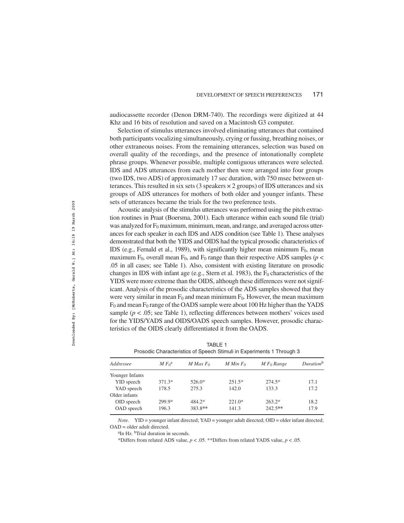audiocassette recorder (Denon DRM-740). The recordings were digitized at 44 Khz and 16 bits of resolution and saved on a Macintosh G3 computer.

Selection of stimulus utterances involved eliminating utterances that contained both participants vocalizing simultaneously, crying or fussing, breathing noises, or other extraneous noises. From the remaining utterances, selection was based on overall quality of the recordings, and the presence of intonationally complete phrase groups. Whenever possible, multiple contiguous utterances were selected. IDS and ADS utterances from each mother then were arranged into four groups (two IDS, two ADS) of approximately 17 sec duration, with 750 msec between utterances. This resulted in six sets (3 speakers  $\times$  2 groups) of IDS utterances and six groups of ADS utterances for mothers of both older and younger infants. These sets of utterances became the trials for the two preference tests.

Acoustic analysis of the stimulus utterances was performed using the pitch extraction routines in Praat (Boersma, 2001). Each utterance within each sound file (trial) was analyzed for  $F_0$  maximum, minimum, mean, and range, and averaged across utterances for each speaker in each IDS and ADS condition (see Table 1). These analyses demonstrated that both the YIDS and OIDS had the typical prosodic characteristics of IDS (e.g., Fernald et al., 1989), with significantly higher mean minimum  $F_0$ , mean maximum  $F_0$ , overall mean  $F_0$ , and  $F_0$  range than their respective ADS samples ( $p <$ .05 in all cases; see Table 1). Also, consistent with existing literature on prosodic changes in IDS with infant age (e.g., Stern et al. 1983), the  $F_0$  characteristics of the YIDS were more extreme than the OIDS, although these differences were not significant. Analysis of the prosodic characteristics of the ADS samples showed that they were very similar in mean  $F_0$  and mean minimum  $F_0$ . However, the mean maximum  $F_0$  and mean  $F_0$  range of the OADS sample were about 100 Hz higher than the YADS sample  $(p < .05$ ; see Table 1), reflecting differences between mothers' voices used for the YIDS/YADS and OIDS/OADS speech samples. However, prosodic characteristics of the OIDS clearly differentiated it from the OADS.

TABLE 1 Prosodic Characteristics of Speech Stimuli in Experiments 1 Through 3

| Addressee       | $M F_0^a$ | $M$ Max $F_0$ | M Min $F_0$ | $M F_0$ Range | Duration <sup>b</sup> |
|-----------------|-----------|---------------|-------------|---------------|-----------------------|
| Younger Infants |           |               |             |               |                       |
| YID speech      | $371.3*$  | 526.0*        | $251.5*$    | $274.5*$      | 17.1                  |
| YAD speech      | 178.5     | 275.3         | 142.0       | 133.3         | 17.2                  |
| Older infants   |           |               |             |               |                       |
| OID speech      | 299.9*    | 484.2*        | $221.0*$    | $263.2*$      | 18.2                  |
| OAD speech      | 196.3     | 383.8**       | 141.3       | $242.5**$     | 17.9                  |

*Note.* YID = younger infant directed; YAD = younger adult directed; OID = older infant directed;  $OAD = older adult directed$ .

<sup>a</sup>In Hz. <sup>b</sup>Trial duration in seconds.

\*Differs from related ADS value, *p* < .05. \*\*Differs from related YADS value, *p* < .05.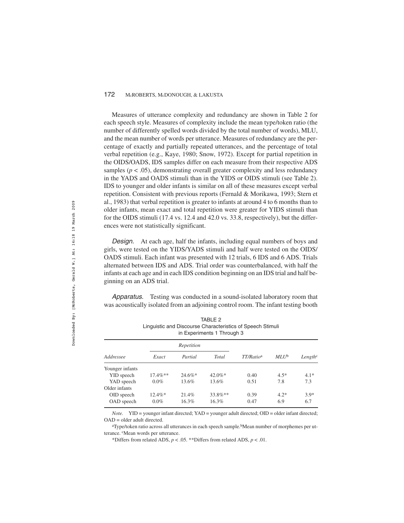Measures of utterance complexity and redundancy are shown in Table 2 for each speech style. Measures of complexity include the mean type/token ratio (the number of differently spelled words divided by the total number of words), MLU, and the mean number of words per utterance. Measures of redundancy are the percentage of exactly and partially repeated utterances, and the percentage of total verbal repetition (e.g., Kaye, 1980; Snow, 1972). Except for partial repetition in the OIDS/OADS, IDS samples differ on each measure from their respective ADS samples ( $p < .05$ ), demonstrating overall greater complexity and less redundancy in the YADS and OADS stimuli than in the YIDS or OIDS stimuli (see Table 2). IDS to younger and older infants is similar on all of these measures except verbal repetition. Consistent with previous reports (Fernald & Morikawa, 1993; Stern et al., 1983) that verbal repetition is greater to infants at around 4 to 6 months than to older infants, mean exact and total repetition were greater for YIDS stimuli than for the OIDS stimuli (17.4 vs. 12.4 and 42.0 vs. 33.8, respectively), but the differences were not statistically significant.

Design. At each age, half the infants, including equal numbers of boys and girls, were tested on the YIDS/YADS stimuli and half were tested on the OIDS/ OADS stimuli. Each infant was presented with 12 trials, 6 IDS and 6 ADS. Trials alternated between IDS and ADS. Trial order was counterbalanced, with half the infants at each age and in each IDS condition beginning on an IDS trial and half beginning on an ADS trial.

Apparatus. Testing was conducted in a sound-isolated laboratory room that was acoustically isolated from an adjoining control room. The infant testing booth

| Addressee       |            | Repetition |            | TT/Ratio <sup>a</sup> | $MLU^b$ | Length <sup>c</sup> |
|-----------------|------------|------------|------------|-----------------------|---------|---------------------|
|                 | Exact      | Partial    | Total      |                       |         |                     |
| Younger infants |            |            |            |                       |         |                     |
| YID speech      | $17.4\%**$ | $24.6\%*$  | $42.0\%$ * | 0.40                  | $4.5*$  | $4.1*$              |
| YAD speech      | $0.0\%$    | 13.6%      | 13.6%      | 0.51                  | 7.8     | 7.3                 |
| Older infants   |            |            |            |                       |         |                     |
| OID speech      | $12.4\%*$  | 21.4%      | $33.8\%**$ | 0.39                  | $4.2*$  | $3.9*$              |
| OAD speech      | $0.0\%$    | 16.3%      | 16.3%      | 0.47                  | 6.9     | 6.7                 |
|                 |            |            |            |                       |         |                     |

TABLE 2 Linguistic and Discourse Characteristics of Speech Stimuli in Experiments 1 Through 3

*Note.* YID = younger infant directed; YAD = younger adult directed; OID = older infant directed; OAD = older adult directed.

<sup>a</sup>Type/token ratio across all utterances in each speech sample.<sup>b</sup>Mean number of morphemes per utterance. <sup>c</sup>Mean words per utterance.

\*Differs from related ADS, *p* < .05. \*\*Differs from related ADS, *p* < .01.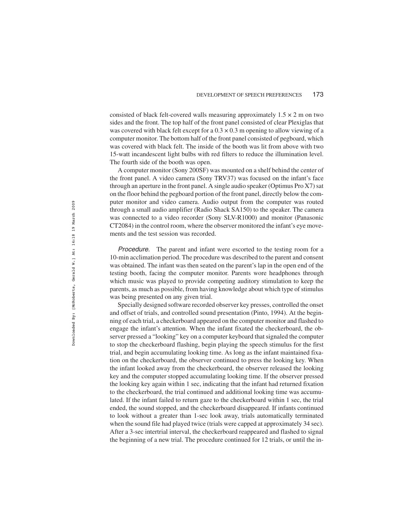consisted of black felt-covered walls measuring approximately  $1.5 \times 2$  m on two sides and the front. The top half of the front panel consisted of clear Plexiglas that was covered with black felt except for a  $0.3 \times 0.3$  m opening to allow viewing of a computer monitor. The bottom half of the front panel consisted of pegboard, which was covered with black felt. The inside of the booth was lit from above with two 15-watt incandescent light bulbs with red filters to reduce the illumination level. The fourth side of the booth was open.

A computer monitor (Sony 200SF) was mounted on a shelf behind the center of the front panel. A video camera (Sony TRV37) was focused on the infant's face through an aperture in the front panel. A single audio speaker (Optimus Pro X7) sat on the floor behind the pegboard portion of the front panel, directly below the computer monitor and video camera. Audio output from the computer was routed through a small audio amplifier (Radio Shack SA150) to the speaker. The camera was connected to a video recorder (Sony SLV-R1000) and monitor (Panasonic CT2084) in the control room, where the observer monitored the infant's eye movements and the test session was recorded.

Procedure. The parent and infant were escorted to the testing room for a 10-min acclimation period. The procedure was described to the parent and consent was obtained. The infant was then seated on the parent's lap in the open end of the testing booth, facing the computer monitor. Parents wore headphones through which music was played to provide competing auditory stimulation to keep the parents, as much as possible, from having knowledge about which type of stimulus was being presented on any given trial.

Specially designed software recorded observer key presses, controlled the onset and offset of trials, and controlled sound presentation (Pinto, 1994). At the beginning of each trial, a checkerboard appeared on the computer monitor and flashed to engage the infant's attention. When the infant fixated the checkerboard, the observer pressed a "looking" key on a computer keyboard that signaled the computer to stop the checkerboard flashing, begin playing the speech stimulus for the first trial, and begin accumulating looking time. As long as the infant maintained fixation on the checkerboard, the observer continued to press the looking key. When the infant looked away from the checkerboard, the observer released the looking key and the computer stopped accumulating looking time. If the observer pressed the looking key again within 1 sec, indicating that the infant had returned fixation to the checkerboard, the trial continued and additional looking time was accumulated. If the infant failed to return gaze to the checkerboard within 1 sec, the trial ended, the sound stopped, and the checkerboard disappeared. If infants continued to look without a greater than 1-sec look away, trials automatically terminated when the sound file had played twice (trials were capped at approximately 34 sec). After a 3-sec intertrial interval, the checkerboard reappeared and flashed to signal the beginning of a new trial. The procedure continued for 12 trials, or until the in-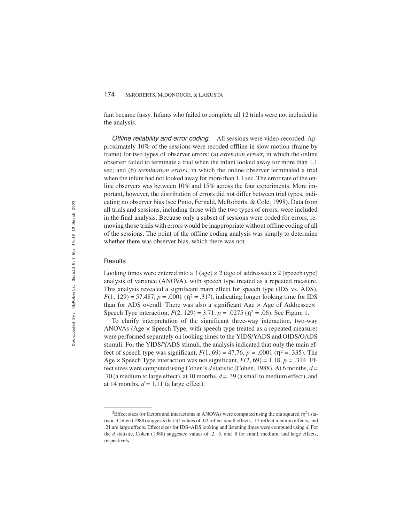fant became fussy. Infants who failed to complete all 12 trials were not included in the analysis.

Offline reliability and error coding. All sessions were video-recorded. Approximately 10% of the sessions were recoded offline in slow motion (frame by frame) for two types of observer errors: (a) *extension errors,* in which the online observer failed to terminate a trial when the infant looked away for more than 1.1 sec; and (b) *termination errors,* in which the online observer terminated a trial when the infant had not looked away for more than 1.1 sec. The error rate of the online observers was between 10% and 15% across the four experiments. More important, however, the distribution of errors did not differ between trial types, indicating no observer bias (see Pinto, Fernald, McRoberts, & Cole, 1998). Data from all trials and sessions, including those with the two types of errors, were included in the final analysis. Because only a subset of sessions were coded for errors, removing those trials with errors would be inappropriate without offline coding of all of the sessions. The point of the offline coding analysis was simply to determine whether there was observer bias, which there was not.

#### **Results**

Looking times were entered into a 3 (age)  $\times$  2 (age of addressee)  $\times$  2 (speech type) analysis of variance (ANOVA), with speech type treated as a repeated measure. This analysis revealed a significant main effect for speech type (IDS vs. ADS),  $F(1, 129) = 57.487$ ,  $p = .0001$  ( $p^2 = .31^2$ ), indicating longer looking time for IDS than for ADS overall. There was also a significant Age × Age of Addressee× Speech Type interaction,  $F(2, 129) = 3.71$ ,  $p = .0275$  ( $\eta^2 = .06$ ). See Figure 1.

To clarify interpretation of the significant three-way interaction, two-way ANOVAs (Age × Speech Type, with speech type treated as a repeated measure) were performed separately on looking times to the YIDS/YADS and OIDS/OADS stimuli. For the YIDS/YADS stimuli, the analysis indicated that only the main effect of speech type was significant,  $F(1, 69) = 47.76$ ,  $p = .0001$  ( $\eta^2 = .335$ ). The Age  $\times$  Speech Type interaction was not significant,  $F(2, 69) = 1.18$ ,  $p = .314$ . Effect sizes were computed using Cohen's *d* statistic (Cohen, 1988). At 6 months, *d* = .70 (a medium to large effect), at 10 months, *d* = .39 (a small to medium effect), and at 14 months,  $d = 1.11$  (a large effect).

<sup>&</sup>lt;sup>2</sup>Effect sizes for factors and interactions in ANOVAs were computed using the eta squared ( $\eta^2$ ) statistic. Cohen (1988) suggests that  $\eta^2$  values of .02 reflect small effects, .13 reflect medium effects, and .21 are large effects. Effect sizes for IDS–ADS looking and listening times were computed using *d.* For the *d* statistic, Cohen (1988) suggested values of .2, .5, and .8 for small, medium, and large effects, respectively.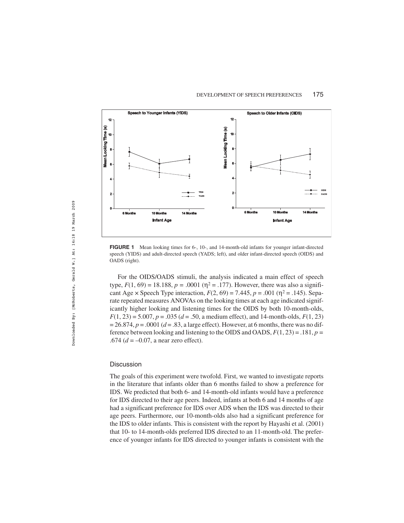

**FIGURE 1** Mean looking times for 6-, 10-, and 14-month-old infants for younger infant-directed speech (YIDS) and adult-directed speech (YADS; left), and older infant-directed speech (OIDS) and OADS (right).

For the OIDS/OADS stimuli, the analysis indicated a main effect of speech type,  $F(1, 69) = 18.188$ ,  $p = .0001$  ( $\eta^2 = .177$ ). However, there was also a significant Age  $\times$  Speech Type interaction,  $F(2, 69) = 7.445$ ,  $p = .001$  ( $\eta^2 = .145$ ). Separate repeated measures ANOVAs on the looking times at each age indicated significantly higher looking and listening times for the OIDS by both 10-month-olds, *F*(1, 23) = 5.007, *p* = .035 (*d* = .50, a medium effect), and 14-month-olds, *F*(1, 23)  $= 26.874, p = .0001 (d = .83, a large effect).$  However, at 6 months, there was no difference between looking and listening to the OIDS and OADS, *F*(1, 23) = .181, *p =* .674 ( $d = -0.07$ , a near zero effect).

#### **Discussion**

The goals of this experiment were twofold. First, we wanted to investigate reports in the literature that infants older than 6 months failed to show a preference for IDS. We predicted that both 6- and 14-month-old infants would have a preference for IDS directed to their age peers. Indeed, infants at both 6 and 14 months of age had a significant preference for IDS over ADS when the IDS was directed to their age peers. Furthermore, our 10-month-olds also had a significant preference for the IDS to older infants. This is consistent with the report by Hayashi et al. (2001) that 10- to 14-month-olds preferred IDS directed to an 11-month-old. The preference of younger infants for IDS directed to younger infants is consistent with the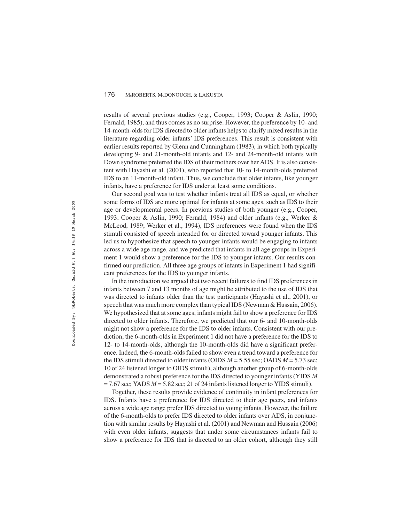results of several previous studies (e.g., Cooper, 1993; Cooper & Aslin, 1990; Fernald, 1985), and thus comes as no surprise. However, the preference by 10- and 14-month-olds for IDS directed to older infants helps to clarify mixed results in the literature regarding older infants' IDS preferences. This result is consistent with earlier results reported by Glenn and Cunningham (1983), in which both typically developing 9- and 21-month-old infants and 12- and 24-month-old infants with Down syndrome preferred the IDS of their mothers over her ADS. It is also consistent with Hayashi et al. (2001), who reported that 10- to 14-month-olds preferred IDS to an 11-month-old infant. Thus, we conclude that older infants, like younger infants, have a preference for IDS under at least some conditions.

Our second goal was to test whether infants treat all IDS as equal, or whether some forms of IDS are more optimal for infants at some ages, such as IDS to their age or developmental peers. In previous studies of both younger (e.g., Cooper, 1993; Cooper & Aslin, 1990; Fernald, 1984) and older infants (e.g., Werker & McLeod, 1989; Werker et al., 1994), IDS preferences were found when the IDS stimuli consisted of speech intended for or directed toward younger infants. This led us to hypothesize that speech to younger infants would be engaging to infants across a wide age range, and we predicted that infants in all age groups in Experiment 1 would show a preference for the IDS to younger infants. Our results confirmed our prediction. All three age groups of infants in Experiment 1 had significant preferences for the IDS to younger infants.

In the introduction we argued that two recent failures to find IDS preferences in infants between 7 and 13 months of age might be attributed to the use of IDS that was directed to infants older than the test participants (Hayashi et al., 2001), or speech that was much more complex than typical IDS (Newman & Hussain, 2006). We hypothesized that at some ages, infants might fail to show a preference for IDS directed to older infants. Therefore, we predicted that our 6- and 10-month-olds might not show a preference for the IDS to older infants. Consistent with our prediction, the 6-month-olds in Experiment 1 did not have a preference for the IDS to 12- to 14-month-olds, although the 10-month-olds did have a significant preference. Indeed, the 6-month-olds failed to show even a trend toward a preference for the IDS stimuli directed to older infants (OIDS *M* = 5.55 sec; OADS *M* = 5.73 sec; 10 of 24 listened longer to OIDS stimuli), although another group of 6-month-olds demonstrated a robust preference for the IDS directed to younger infants (YIDS *M*  $= 7.67$  sec; YADS  $M = 5.82$  sec; 21 of 24 infants listened longer to YIDS stimuli).

Together, these results provide evidence of continuity in infant preferences for IDS. Infants have a preference for IDS directed to their age peers, and infants across a wide age range prefer IDS directed to young infants. However, the failure of the 6-month-olds to prefer IDS directed to older infants over ADS, in conjunction with similar results by Hayashi et al. (2001) and Newman and Hussain (2006) with even older infants, suggests that under some circumstances infants fail to show a preference for IDS that is directed to an older cohort, although they still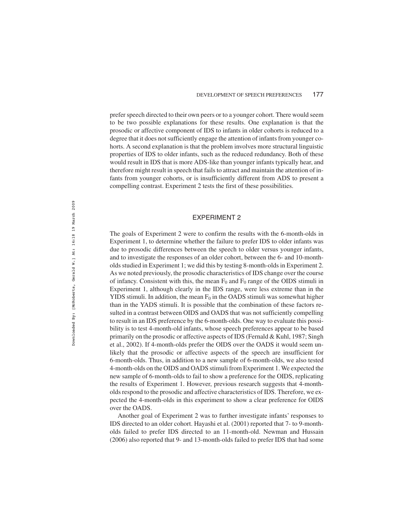prefer speech directed to their own peers or to a younger cohort. There would seem to be two possible explanations for these results. One explanation is that the prosodic or affective component of IDS to infants in older cohorts is reduced to a degree that it does not sufficiently engage the attention of infants from younger cohorts. A second explanation is that the problem involves more structural linguistic properties of IDS to older infants, such as the reduced redundancy. Both of these would result in IDS that is more ADS-like than younger infants typically hear, and therefore might result in speech that fails to attract and maintain the attention of infants from younger cohorts, or is insufficiently different from ADS to present a compelling contrast. Experiment 2 tests the first of these possibilities.

#### EXPERIMENT 2

The goals of Experiment 2 were to confirm the results with the 6-month-olds in Experiment 1, to determine whether the failure to prefer IDS to older infants was due to prosodic differences between the speech to older versus younger infants, and to investigate the responses of an older cohort, between the 6- and 10-montholds studied in Experiment 1; we did this by testing 8-month-olds in Experiment 2. As we noted previously, the prosodic characteristics of IDS change over the course of infancy. Consistent with this, the mean  $F_0$  and  $F_0$  range of the OIDS stimuli in Experiment 1, although clearly in the IDS range, were less extreme than in the YIDS stimuli. In addition, the mean  $F_0$  in the OADS stimuli was somewhat higher than in the YADS stimuli. It is possible that the combination of these factors resulted in a contrast between OIDS and OADS that was not sufficiently compelling to result in an IDS preference by the 6-month-olds. One way to evaluate this possibility is to test 4-month-old infants, whose speech preferences appear to be based primarily on the prosodic or affective aspects of IDS (Fernald & Kuhl, 1987; Singh et al., 2002). If 4-month-olds prefer the OIDS over the OADS it would seem unlikely that the prosodic or affective aspects of the speech are insufficient for 6-month-olds. Thus, in addition to a new sample of 6-month-olds, we also tested 4-month-olds on the OIDS and OADS stimuli from Experiment 1. We expected the new sample of 6-month-olds to fail to show a preference for the OIDS, replicating the results of Experiment 1. However, previous research suggests that 4-montholds respond to the prosodic and affective characteristics of IDS. Therefore, we expected the 4-month-olds in this experiment to show a clear preference for OIDS over the OADS.

Another goal of Experiment 2 was to further investigate infants' responses to IDS directed to an older cohort. Hayashi et al. (2001) reported that 7- to 9-montholds failed to prefer IDS directed to an 11-month-old. Newman and Hussain (2006) also reported that 9- and 13-month-olds failed to prefer IDS that had some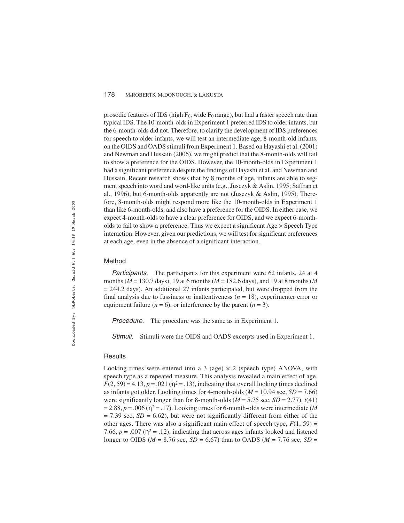prosodic features of IDS (high  $F_0$ , wide  $F_0$  range), but had a faster speech rate than typical IDS. The 10-month-olds in Experiment 1 preferred IDS to older infants, but the 6-month-olds did not. Therefore, to clarify the development of IDS preferences for speech to older infants, we will test an intermediate age, 8-month-old infants, on the OIDS and OADS stimuli from Experiment 1. Based on Hayashi et al. (2001) and Newman and Hussain (2006), we might predict that the 8-month-olds will fail to show a preference for the OIDS. However, the 10-month-olds in Experiment 1 had a significant preference despite the findings of Hayashi et al. and Newman and Hussain. Recent research shows that by 8 months of age, infants are able to segment speech into word and word-like units (e.g., Jusczyk & Aslin, 1995; Saffran et al., 1996), but 6-month-olds apparently are not (Jusczyk & Aslin, 1995). Therefore, 8-month-olds might respond more like the 10-month-olds in Experiment 1 than like 6-month-olds, and also have a preference for the OIDS. In either case, we expect 4-month-olds to have a clear preference for OIDS, and we expect 6-montholds to fail to show a preference. Thus we expect a significant Age × Speech Type interaction. However, given our predictions, we will test for significant preferences at each age, even in the absence of a significant interaction.

#### Method

Participants. The participants for this experiment were 62 infants, 24 at 4 months (*M* = 130.7 days), 19 at 6 months (*M* = 182.6 days), and 19 at 8 months (*M*  $= 244.2$  days). An additional 27 infants participated, but were dropped from the final analysis due to fussiness or inattentiveness  $(n = 18)$ , experimenter error or equipment failure  $(n = 6)$ , or interference by the parent  $(n = 3)$ .

Procedure. The procedure was the same as in Experiment 1.

Stimuli. Stimuli were the OIDS and OADS excerpts used in Experiment 1.

#### **Results**

Looking times were entered into a 3 (age)  $\times$  2 (speech type) ANOVA, with speech type as a repeated measure. This analysis revealed a main effect of age,  $F(2, 59) = 4.13, p = .021$  ( $\eta^2 = .13$ ), indicating that overall looking times declined as infants got older. Looking times for 4-month-olds ( $M = 10.94$  sec,  $SD = 7.66$ ) were significantly longer than for 8-month-olds ( $M = 5.75$  sec,  $SD = 2.77$ ),  $t(41)$  $= 2.88$ ,  $p = .006$  ( $\eta^2 = .17$ ). Looking times for 6-month-olds were intermediate (*M*  $= 7.39$  sec,  $SD = 6.62$ ), but were not significantly different from either of the other ages. There was also a significant main effect of speech type,  $F(1, 59)$  = 7.66,  $p = .007$  ( $\eta^2 = .12$ ), indicating that across ages infants looked and listened longer to OIDS ( $M = 8.76$  sec,  $SD = 6.67$ ) than to OADS ( $M = 7.76$  sec,  $SD =$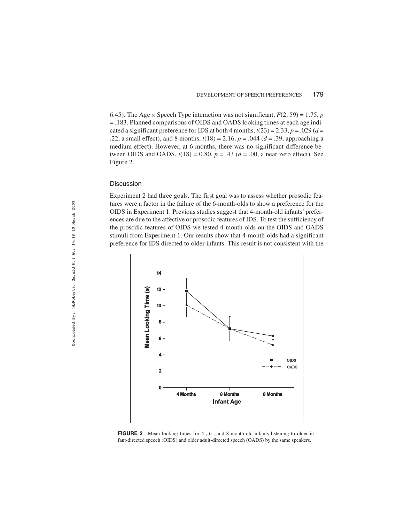6.45). The Age  $\times$  Speech Type interaction was not significant,  $F(2, 59) = 1.75$ , *p* = .183. Planned comparisons of OIDS and OADS looking times at each age indicated a significant preference for IDS at both 4 months,  $t(23) = 2.33$ ,  $p = .029$  ( $d =$ .22, a small effect), and 8 months,  $t(18) = 2.16$ ,  $p = .044$  ( $d = .39$ , approaching a medium effect). However, at 6 months, there was no significant difference between OIDS and OADS,  $t(18) = 0.80$ ,  $p = .43$  ( $d = .00$ , a near zero effect). See Figure 2.

#### Discussion

Experiment 2 had three goals. The first goal was to assess whether prosodic features were a factor in the failure of the 6-month-olds to show a preference for the OIDS in Experiment 1. Previous studies suggest that 4-month-old infants' preferences are due to the affective or prosodic features of IDS. To test the sufficiency of the prosodic features of OIDS we tested 4-month-olds on the OIDS and OADS stimuli from Experiment 1. Our results show that 4-month-olds had a significant preference for IDS directed to older infants. This result is not consistent with the



**FIGURE 2** Mean looking times for 4-, 6-, and 8-month-old infants listening to older infant-directed speech (OIDS) and older adult-directed speech (OADS) by the same speakers.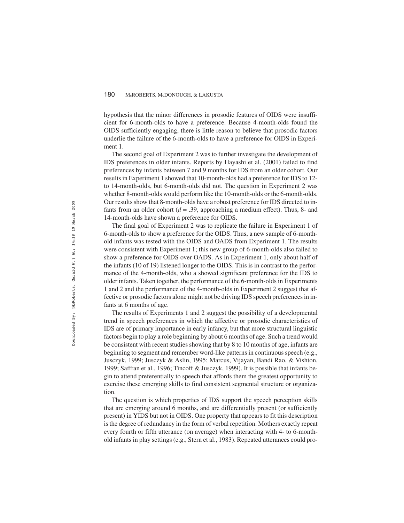hypothesis that the minor differences in prosodic features of OIDS were insufficient for 6-month-olds to have a preference. Because 4-month-olds found the OIDS sufficiently engaging, there is little reason to believe that prosodic factors underlie the failure of the 6-month-olds to have a preference for OIDS in Experiment 1.

The second goal of Experiment 2 was to further investigate the development of IDS preferences in older infants. Reports by Hayashi et al. (2001) failed to find preferences by infants between 7 and 9 months for IDS from an older cohort. Our results in Experiment 1 showed that 10-month-olds had a preference for IDS to 12 to 14-month-olds, but 6-month-olds did not. The question in Experiment 2 was whether 8-month-olds would perform like the 10-month-olds or the 6-month-olds. Our results show that 8-month-olds have a robust preference for IDS directed to infants from an older cohort  $(d = .39)$ , approaching a medium effect). Thus, 8- and 14-month-olds have shown a preference for OIDS.

The final goal of Experiment 2 was to replicate the failure in Experiment 1 of 6-month-olds to show a preference for the OIDS. Thus, a new sample of 6-monthold infants was tested with the OIDS and OADS from Experiment 1. The results were consistent with Experiment 1; this new group of 6-month-olds also failed to show a preference for OIDS over OADS. As in Experiment 1, only about half of the infants (10 of 19) listened longer to the OIDS. This is in contrast to the performance of the 4-month-olds, who a showed significant preference for the IDS to older infants. Taken together, the performance of the 6-month-olds in Experiments 1 and 2 and the performance of the 4-month-olds in Experiment 2 suggest that affective or prosodic factors alone might not be driving IDS speech preferences in infants at 6 months of age.

The results of Experiments 1 and 2 suggest the possibility of a developmental trend in speech preferences in which the affective or prosodic characteristics of IDS are of primary importance in early infancy, but that more structural linguistic factors begin to play a role beginning by about 6 months of age. Such a trend would be consistent with recent studies showing that by 8 to 10 months of age, infants are beginning to segment and remember word-like patterns in continuous speech (e.g., Jusczyk, 1999; Jusczyk & Aslin, 1995; Marcus, Vijayan, Bandi Rao, & Vishton, 1999; Saffran et al., 1996; Tincoff & Jusczyk, 1999). It is possible that infants begin to attend preferentially to speech that affords them the greatest opportunity to exercise these emerging skills to find consistent segmental structure or organization.

The question is which properties of IDS support the speech perception skills that are emerging around 6 months, and are differentially present (or sufficiently present) in YIDS but not in OIDS. One property that appears to fit this description is the degree of redundancy in the form of verbal repetition. Mothers exactly repeat every fourth or fifth utterance (on average) when interacting with 4- to 6-monthold infants in play settings (e.g., Stern et al., 1983). Repeated utterances could pro-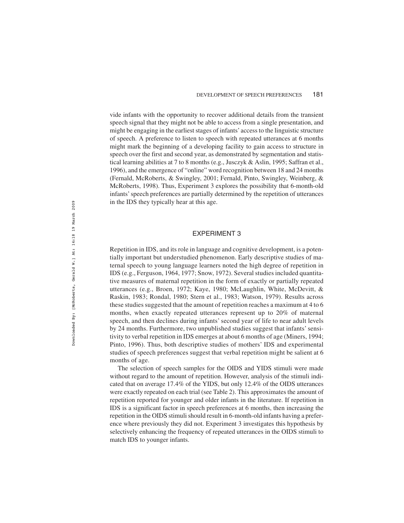vide infants with the opportunity to recover additional details from the transient speech signal that they might not be able to access from a single presentation, and might be engaging in the earliest stages of infants'access to the linguistic structure of speech. A preference to listen to speech with repeated utterances at 6 months might mark the beginning of a developing facility to gain access to structure in speech over the first and second year, as demonstrated by segmentation and statistical learning abilities at 7 to 8 months (e.g., Jusczyk & Aslin, 1995; Saffran et al., 1996), and the emergence of "online" word recognition between 18 and 24 months (Fernald, McRoberts, & Swingley, 2001; Fernald, Pinto, Swingley, Weinberg, & McRoberts, 1998). Thus, Experiment 3 explores the possibility that 6-month-old infants' speech preferences are partially determined by the repetition of utterances in the IDS they typically hear at this age.

#### EXPERIMENT 3

Repetition in IDS, and its role in language and cognitive development, is a potentially important but understudied phenomenon. Early descriptive studies of maternal speech to young language learners noted the high degree of repetition in IDS (e.g., Ferguson, 1964, 1977; Snow, 1972). Several studies included quantitative measures of maternal repetition in the form of exactly or partially repeated utterances (e.g., Broen, 1972; Kaye, 1980; McLaughlin, White, McDevitt, & Raskin, 1983; Rondal, 1980; Stern et al., 1983; Watson, 1979). Results across these studies suggested that the amount of repetition reaches a maximum at 4 to 6 months, when exactly repeated utterances represent up to 20% of maternal speech, and then declines during infants' second year of life to near adult levels by 24 months. Furthermore, two unpublished studies suggest that infants' sensitivity to verbal repetition in IDS emerges at about 6 months of age (Miners, 1994; Pinto, 1996). Thus, both descriptive studies of mothers' IDS and experimental studies of speech preferences suggest that verbal repetition might be salient at 6 months of age.

The selection of speech samples for the OIDS and YIDS stimuli were made without regard to the amount of repetition. However, analysis of the stimuli indicated that on average 17.4% of the YIDS, but only 12.4% of the OIDS utterances were exactly repeated on each trial (see Table 2). This approximates the amount of repetition reported for younger and older infants in the literature. If repetition in IDS is a significant factor in speech preferences at 6 months, then increasing the repetition in the OIDS stimuli should result in 6-month-old infants having a preference where previously they did not. Experiment 3 investigates this hypothesis by selectively enhancing the frequency of repeated utterances in the OIDS stimuli to match IDS to younger infants.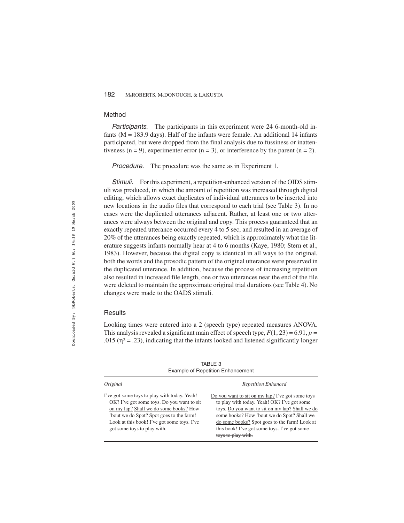# Method

Participants. The participants in this experiment were 24 6-month-old infants ( $M = 183.9$  days). Half of the infants were female. An additional 14 infants participated, but were dropped from the final analysis due to fussiness or inattentiveness ( $n = 9$ ), experimenter error ( $n = 3$ ), or interference by the parent ( $n = 2$ ).

Procedure. The procedure was the same as in Experiment 1.

Stimuli. For this experiment, a repetition-enhanced version of the OIDS stimuli was produced, in which the amount of repetition was increased through digital editing, which allows exact duplicates of individual utterances to be inserted into new locations in the audio files that correspond to each trial (see Table 3). In no cases were the duplicated utterances adjacent. Rather, at least one or two utterances were always between the original and copy. This process guaranteed that an exactly repeated utterance occurred every 4 to 5 sec, and resulted in an average of 20% of the utterances being exactly repeated, which is approximately what the literature suggests infants normally hear at 4 to 6 months (Kaye, 1980; Stern et al., 1983). However, because the digital copy is identical in all ways to the original, both the words and the prosodic pattern of the original utterance were preserved in the duplicated utterance. In addition, because the process of increasing repetition also resulted in increased file length, one or two utterances near the end of the file were deleted to maintain the approximate original trial durations (see Table 4). No changes were made to the OADS stimuli.

#### **Results**

Looking times were entered into a 2 (speech type) repeated measures ANOVA. This analysis revealed a significant main effect of speech type,  $F(1, 23) = 6.91$ ,  $p =$  $.015$  ( $\eta^2$  = .23), indicating that the infants looked and listened significantly longer

*Original Repetition Enhanced* I've got some toys to play with today. Yeah! OK? I've got some toys. Do you want to sit on my lap? Shall we do some books? How 'bout we do Spot? Spot goes to the farm! Look at this book! I've got some toys. I've got some toys to play with. Do you want to sit on my lap? I've got some toys to play with today. Yeah! OK? I've got some toys. Do you want to sit on my lap? Shall we do some books? How 'bout we do Spot? Shall we do some books? Spot goes to the farm! Look at this book! I've got some toys. Fve got some toys to play with.

TABLE 3 Example of Repetition Enhancement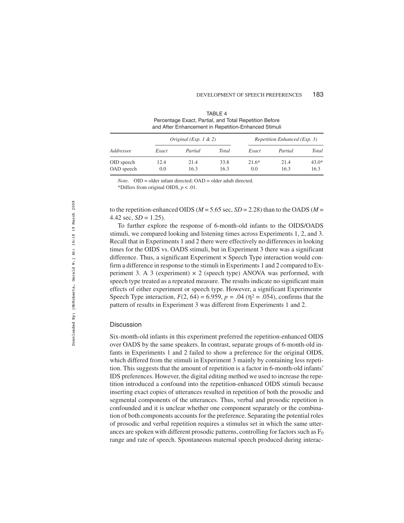#### DEVELOPMENT OF SPEECH PREFERENCES 183

| and After Enhancement in Repetition-Enhanced Stimuli |                       |              |              |                              |              |                 |  |
|------------------------------------------------------|-----------------------|--------------|--------------|------------------------------|--------------|-----------------|--|
| Addressee                                            | Original (Exp. 1 & 2) |              |              | Repetition Enhanced (Exp. 3) |              |                 |  |
|                                                      | Exact                 | Partial      | Total        | Exact                        | Partial      | Total           |  |
| OID speech<br>OAD speech                             | 12.4<br>0.0           | 21.4<br>16.3 | 33.8<br>16.3 | $21.6*$<br>0.0               | 21.4<br>16.3 | $43.0*$<br>16.3 |  |

TABLE 4 Percentage Exact, Partial, and Total Repetition Before

*Note.* OID = older infant directed; OAD = older adult directed.

\*Differs from original OIDS, *p* < .01.

to the repetition-enhanced OIDS ( $M = 5.65$  sec,  $SD = 2.28$ ) than to the OADS ( $M =$ 4.42 sec,  $SD = 1.25$ ).

To further explore the response of 6-month-old infants to the OIDS/OADS stimuli, we compared looking and listening times across Experiments 1, 2, and 3. Recall that in Experiments 1 and 2 there were effectively no differences in looking times for the OIDS vs. OADS stimuli, but in Experiment 3 there was a significant difference. Thus, a significant Experiment  $\times$  Speech Type interaction would confirm a difference in response to the stimuli in Experiments 1 and 2 compared to Experiment 3. A 3 (experiment)  $\times$  2 (speech type) ANOVA was performed, with speech type treated as a repeated measure. The results indicate no significant main effects of either experiment or speech type. However, a significant Experiment× Speech Type interaction,  $F(2, 64) = 6.959$ ,  $p = .04$  ( $\eta^2 = .054$ ), confirms that the pattern of results in Experiment 3 was different from Experiments 1 and 2.

#### **Discussion**

Six-month-old infants in this experiment preferred the repetition-enhanced OIDS over OADS by the same speakers. In contrast, separate groups of 6-month-old infants in Experiments 1 and 2 failed to show a preference for the original OIDS, which differed from the stimuli in Experiment 3 mainly by containing less repetition. This suggests that the amount of repetition is a factor in 6-month-old infants' IDS preferences. However, the digital editing method we used to increase the repetition introduced a confound into the repetition-enhanced OIDS stimuli because inserting exact copies of utterances resulted in repetition of both the prosodic and segmental components of the utterances. Thus, verbal and prosodic repetition is confounded and it is unclear whether one component separately or the combination of both components accounts for the preference. Separating the potential roles of prosodic and verbal repetition requires a stimulus set in which the same utterances are spoken with different prosodic patterns, controlling for factors such as  $F_0$ range and rate of speech. Spontaneous maternal speech produced during interac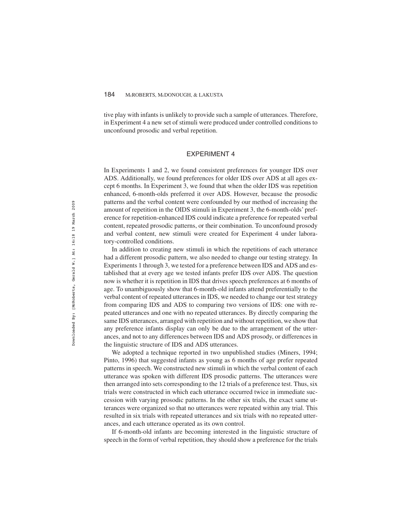tive play with infants is unlikely to provide such a sample of utterances. Therefore, in Experiment 4 a new set of stimuli were produced under controlled conditions to unconfound prosodic and verbal repetition.

# EXPERIMENT 4

In Experiments 1 and 2, we found consistent preferences for younger IDS over ADS. Additionally, we found preferences for older IDS over ADS at all ages except 6 months. In Experiment 3, we found that when the older IDS was repetition enhanced, 6-month-olds preferred it over ADS. However, because the prosodic patterns and the verbal content were confounded by our method of increasing the amount of repetition in the OIDS stimuli in Experiment 3, the 6-month-olds' preference for repetition-enhanced IDS could indicate a preference for repeated verbal content, repeated prosodic patterns, or their combination. To unconfound prosody and verbal content, new stimuli were created for Experiment 4 under laboratory-controlled conditions.

In addition to creating new stimuli in which the repetitions of each utterance had a different prosodic pattern, we also needed to change our testing strategy. In Experiments 1 through 3, we tested for a preference between IDS and ADS and established that at every age we tested infants prefer IDS over ADS. The question now is whether it is repetition in IDS that drives speech preferences at 6 months of age. To unambiguously show that 6-month-old infants attend preferentially to the verbal content of repeated utterances in IDS, we needed to change our test strategy from comparing IDS and ADS to comparing two versions of IDS: one with repeated utterances and one with no repeated utterances. By directly comparing the same IDS utterances, arranged with repetition and without repetition, we show that any preference infants display can only be due to the arrangement of the utterances, and not to any differences between IDS and ADS prosody, or differences in the linguistic structure of IDS and ADS utterances.

We adopted a technique reported in two unpublished studies (Miners, 1994; Pinto, 1996) that suggested infants as young as 6 months of age prefer repeated patterns in speech. We constructed new stimuli in which the verbal content of each utterance was spoken with different IDS prosodic patterns. The utterances were then arranged into sets corresponding to the 12 trials of a preference test. Thus, six trials were constructed in which each utterance occurred twice in immediate succession with varying prosodic patterns. In the other six trials, the exact same utterances were organized so that no utterances were repeated within any trial. This resulted in six trials with repeated utterances and six trials with no repeated utterances, and each utterance operated as its own control.

If 6-month-old infants are becoming interested in the linguistic structure of speech in the form of verbal repetition, they should show a preference for the trials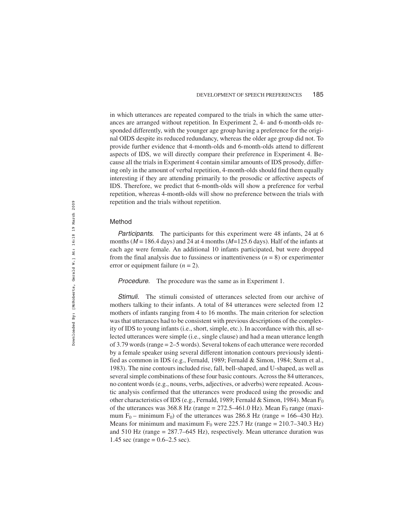in which utterances are repeated compared to the trials in which the same utterances are arranged without repetition. In Experiment 2, 4- and 6-month-olds responded differently, with the younger age group having a preference for the original OIDS despite its reduced redundancy, whereas the older age group did not. To provide further evidence that 4-month-olds and 6-month-olds attend to different aspects of IDS, we will directly compare their preference in Experiment 4. Because all the trials in Experiment 4 contain similar amounts of IDS prosody, differing only in the amount of verbal repetition, 4-month-olds should find them equally interesting if they are attending primarily to the prosodic or affective aspects of IDS. Therefore, we predict that 6-month-olds will show a preference for verbal repetition, whereas 4-month-olds will show no preference between the trials with repetition and the trials without repetition.

#### Method

Participants. The participants for this experiment were 48 infants, 24 at 6 months ( $M = 186.4$  days) and 24 at 4 months ( $M = 125.6$  days). Half of the infants at each age were female. An additional 10 infants participated, but were dropped from the final analysis due to fussiness or inattentiveness  $(n = 8)$  or experimenter error or equipment failure  $(n = 2)$ .

Procedure. The procedure was the same as in Experiment 1.

Stimuli. The stimuli consisted of utterances selected from our archive of mothers talking to their infants. A total of 84 utterances were selected from 12 mothers of infants ranging from 4 to 16 months. The main criterion for selection was that utterances had to be consistent with previous descriptions of the complexity of IDS to young infants (i.e., short, simple, etc.). In accordance with this, all selected utterances were simple (i.e., single clause) and had a mean utterance length of 3.79 words (range = 2–5 words). Several tokens of each utterance were recorded by a female speaker using several different intonation contours previously identified as common in IDS (e.g., Fernald, 1989; Fernald & Simon, 1984; Stern et al., 1983). The nine contours included rise, fall, bell-shaped, and U-shaped, as well as several simple combinations of these four basic contours. Across the 84 utterances, no content words (e.g., nouns, verbs, adjectives, or adverbs) were repeated. Acoustic analysis confirmed that the utterances were produced using the prosodic and other characteristics of IDS (e.g., Fernald, 1989; Fernald & Simon, 1984). Mean F<sub>0</sub> of the utterances was 368.8 Hz (range =  $272.5-461.0$  Hz). Mean F<sub>0</sub> range (maximum  $F_0$  – minimum  $F_0$ ) of the utterances was 286.8 Hz (range = 166–430 Hz). Means for minimum and maximum  $F_0$  were 225.7 Hz (range = 210.7–340.3 Hz) and 510 Hz (range = 287.7–645 Hz), respectively. Mean utterance duration was 1.45 sec (range =  $0.6-2.5$  sec).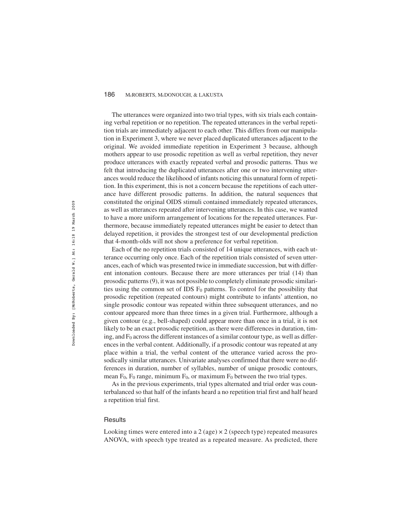The utterances were organized into two trial types, with six trials each containing verbal repetition or no repetition. The repeated utterances in the verbal repetition trials are immediately adjacent to each other. This differs from our manipulation in Experiment 3, where we never placed duplicated utterances adjacent to the original. We avoided immediate repetition in Experiment 3 because, although mothers appear to use prosodic repetition as well as verbal repetition, they never produce utterances with exactly repeated verbal and prosodic patterns. Thus we felt that introducing the duplicated utterances after one or two intervening utterances would reduce the likelihood of infants noticing this unnatural form of repetition. In this experiment, this is not a concern because the repetitions of each utterance have different prosodic patterns. In addition, the natural sequences that constituted the original OIDS stimuli contained immediately repeated utterances, as well as utterances repeated after intervening utterances. In this case, we wanted to have a more uniform arrangement of locations for the repeated utterances. Furthermore, because immediately repeated utterances might be easier to detect than delayed repetition, it provides the strongest test of our developmental prediction that 4-month-olds will not show a preference for verbal repetition.

Each of the no repetition trials consisted of 14 unique utterances, with each utterance occurring only once. Each of the repetition trials consisted of seven utterances, each of which was presented twice in immediate succession, but with different intonation contours. Because there are more utterances per trial (14) than prosodic patterns (9), it was not possible to completely eliminate prosodic similarities using the common set of IDS  $F_0$  patterns. To control for the possibility that prosodic repetition (repeated contours) might contribute to infants' attention, no single prosodic contour was repeated within three subsequent utterances, and no contour appeared more than three times in a given trial. Furthermore, although a given contour (e.g., bell-shaped) could appear more than once in a trial, it is not likely to be an exact prosodic repetition, as there were differences in duration, timing, and  $F_0$  across the different instances of a similar contour type, as well as differences in the verbal content. Additionally, if a prosodic contour was repeated at any place within a trial, the verbal content of the utterance varied across the prosodically similar utterances. Univariate analyses confirmed that there were no differences in duration, number of syllables, number of unique prosodic contours, mean  $F_0$ ,  $F_0$  range, minimum  $F_0$ , or maximum  $F_0$  between the two trial types.

As in the previous experiments, trial types alternated and trial order was counterbalanced so that half of the infants heard a no repetition trial first and half heard a repetition trial first.

#### **Results**

Looking times were entered into a 2 (age)  $\times$  2 (speech type) repeated measures ANOVA, with speech type treated as a repeated measure. As predicted, there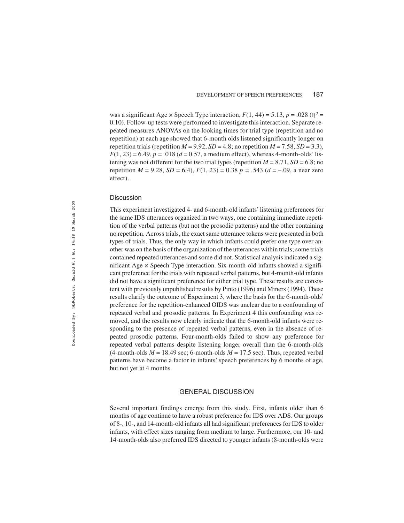was a significant Age  $\times$  Speech Type interaction,  $F(1, 44) = 5.13$ ,  $p = .028$  ( $p^2 =$ 0.10). Follow-up tests were performed to investigate this interaction. Separate repeated measures ANOVAs on the looking times for trial type (repetition and no repetition) at each age showed that 6-month olds listened significantly longer on repetition trials (repetition  $M = 9.92$ ,  $SD = 4.8$ ; no repetition  $M = 7.58$ ,  $SD = 3.3$ ),  $F(1, 23) = 6.49$ ,  $p = .018$  ( $d = 0.57$ , a medium effect), whereas 4-month-olds' listening was not different for the two trial types (repetition  $M = 8.71$ ,  $SD = 6.8$ ; no repetition  $M = 9.28$ ,  $SD = 6.4$ ),  $F(1, 23) = 0.38$   $p = .543$  ( $d = -.09$ , a near zero effect).

#### **Discussion**

This experiment investigated 4- and 6-month-old infants' listening preferences for the same IDS utterances organized in two ways, one containing immediate repetition of the verbal patterns (but not the prosodic patterns) and the other containing no repetition. Across trials, the exact same utterance tokens were presented in both types of trials. Thus, the only way in which infants could prefer one type over another was on the basis of the organization of the utterances within trials; some trials contained repeated utterances and some did not. Statistical analysis indicated a significant Age  $\times$  Speech Type interaction. Six-month-old infants showed a significant preference for the trials with repeated verbal patterns, but 4-month-old infants did not have a significant preference for either trial type. These results are consistent with previously unpublished results by Pinto (1996) and Miners (1994). These results clarify the outcome of Experiment 3, where the basis for the 6-month-olds' preference for the repetition-enhanced OIDS was unclear due to a confounding of repeated verbal and prosodic patterns. In Experiment 4 this confounding was removed, and the results now clearly indicate that the 6-month-old infants were responding to the presence of repeated verbal patterns, even in the absence of repeated prosodic patterns. Four-month-olds failed to show any preference for repeated verbal patterns despite listening longer overall than the 6-month-olds  $(4$ -month-olds  $M = 18.49$  sec; 6-month-olds  $M = 17.5$  sec). Thus, repeated verbal patterns have become a factor in infants' speech preferences by 6 months of age, but not yet at 4 months.

#### GENERAL DISCUSSION

Several important findings emerge from this study. First, infants older than 6 months of age continue to have a robust preference for IDS over ADS. Our groups of 8-, 10-, and 14-month-old infants all had significant preferences for IDS to older infants, with effect sizes ranging from medium to large. Furthermore, our 10- and 14-month-olds also preferred IDS directed to younger infants (8-month-olds were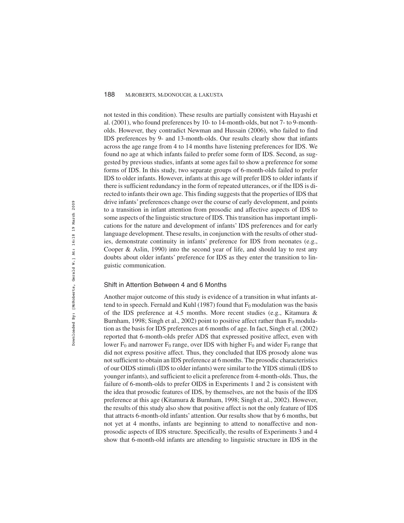not tested in this condition). These results are partially consistent with Hayashi et al. (2001), who found preferences by 10- to 14-month-olds, but not 7- to 9-montholds. However, they contradict Newman and Hussain (2006), who failed to find IDS preferences by 9- and 13-month-olds. Our results clearly show that infants across the age range from 4 to 14 months have listening preferences for IDS. We found no age at which infants failed to prefer some form of IDS. Second, as suggested by previous studies, infants at some ages fail to show a preference for some forms of IDS. In this study, two separate groups of 6-month-olds failed to prefer IDS to older infants. However, infants at this age will prefer IDS to older infants if there is sufficient redundancy in the form of repeated utterances, or if the IDS is directed to infants their own age. This finding suggests that the properties of IDS that drive infants' preferences change over the course of early development, and points to a transition in infant attention from prosodic and affective aspects of IDS to some aspects of the linguistic structure of IDS. This transition has important implications for the nature and development of infants' IDS preferences and for early language development. These results, in conjunction with the results of other studies, demonstrate continuity in infants' preference for IDS from neonates (e.g., Cooper & Aslin, 1990) into the second year of life, and should lay to rest any doubts about older infants' preference for IDS as they enter the transition to linguistic communication.

#### Shift in Attention Between 4 and 6 Months

Another major outcome of this study is evidence of a transition in what infants attend to in speech. Fernald and Kuhl (1987) found that  $F_0$  modulation was the basis of the IDS preference at 4.5 months. More recent studies (e.g., Kitamura & Burnham, 1998; Singh et al., 2002) point to positive affect rather than  $F_0$  modulation as the basis for IDS preferences at 6 months of age. In fact, Singh et al. (2002) reported that 6-month-olds prefer ADS that expressed positive affect, even with lower  $F_0$  and narrower  $F_0$  range, over IDS with higher  $F_0$  and wider  $F_0$  range that did not express positive affect. Thus, they concluded that IDS prosody alone was not sufficient to obtain an IDS preference at 6 months. The prosodic characteristics of our OIDS stimuli (IDS to older infants) were similar to the YIDS stimuli (IDS to younger infants), and sufficient to elicit a preference from 4-month-olds. Thus, the failure of 6-month-olds to prefer OIDS in Experiments 1 and 2 is consistent with the idea that prosodic features of IDS, by themselves, are not the basis of the IDS preference at this age (Kitamura & Burnham, 1998; Singh et al., 2002). However, the results of this study also show that positive affect is not the only feature of IDS that attracts 6-month-old infants' attention. Our results show that by 6 months, but not yet at 4 months, infants are beginning to attend to nonaffective and nonprosodic aspects of IDS structure. Specifically, the results of Experiments 3 and 4 show that 6-month-old infants are attending to linguistic structure in IDS in the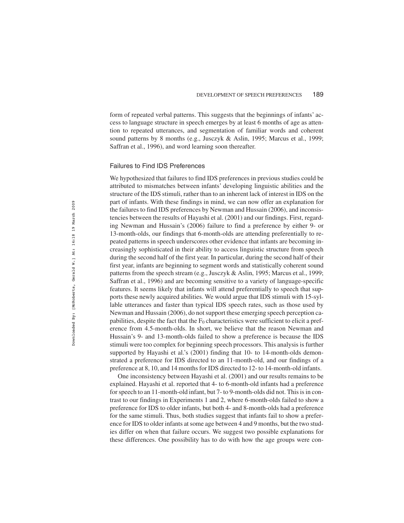form of repeated verbal patterns. This suggests that the beginnings of infants' access to language structure in speech emerges by at least 6 months of age as attention to repeated utterances, and segmentation of familiar words and coherent sound patterns by 8 months (e.g., Jusczyk & Aslin, 1995; Marcus et al., 1999; Saffran et al., 1996), and word learning soon thereafter.

## Failures to Find IDS Preferences

We hypothesized that failures to find IDS preferences in previous studies could be attributed to mismatches between infants' developing linguistic abilities and the structure of the IDS stimuli, rather than to an inherent lack of interest in IDS on the part of infants. With these findings in mind, we can now offer an explanation for the failures to find IDS preferences by Newman and Hussain (2006), and inconsistencies between the results of Hayashi et al. (2001) and our findings. First, regarding Newman and Hussain's (2006) failure to find a preference by either 9- or 13-month-olds, our findings that 6-month-olds are attending preferentially to repeated patterns in speech underscores other evidence that infants are becoming increasingly sophisticated in their ability to access linguistic structure from speech during the second half of the first year. In particular, during the second half of their first year, infants are beginning to segment words and statistically coherent sound patterns from the speech stream (e.g., Jusczyk & Aslin, 1995; Marcus et al., 1999; Saffran et al., 1996) and are becoming sensitive to a variety of language-specific features. It seems likely that infants will attend preferentially to speech that supports these newly acquired abilities. We would argue that IDS stimuli with 15-syllable utterances and faster than typical IDS speech rates, such as those used by Newman and Hussain (2006), do not support these emerging speech perception capabilities, despite the fact that the  $F_0$  characteristics were sufficient to elicit a preference from 4.5-month-olds. In short, we believe that the reason Newman and Hussain's 9- and 13-month-olds failed to show a preference is because the IDS stimuli were too complex for beginning speech processors. This analysis is further supported by Hayashi et al.'s (2001) finding that 10- to 14-month-olds demonstrated a preference for IDS directed to an 11-month-old, and our findings of a preference at 8, 10, and 14 months for IDS directed to 12- to 14-month-old infants.

One inconsistency between Hayashi et al. (2001) and our results remains to be explained. Hayashi et al. reported that 4- to 6-month-old infants had a preference for speech to an 11-month-old infant, but 7- to 9-month-olds did not. This is in contrast to our findings in Experiments 1 and 2, where 6-month-olds failed to show a preference for IDS to older infants, but both 4- and 8-month-olds had a preference for the same stimuli. Thus, both studies suggest that infants fail to show a preference for IDS to older infants at some age between 4 and 9 months, but the two studies differ on when that failure occurs. We suggest two possible explanations for these differences. One possibility has to do with how the age groups were con-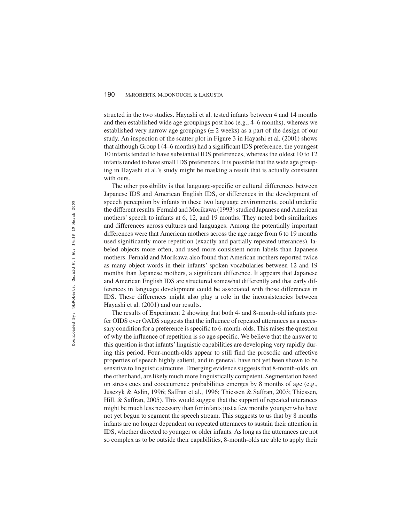structed in the two studies. Hayashi et al. tested infants between 4 and 14 months and then established wide age groupings post hoc (e.g., 4–6 months), whereas we established very narrow age groupings  $(\pm 2$  weeks) as a part of the design of our study. An inspection of the scatter plot in Figure 3 in Hayashi et al. (2001) shows that although Group I (4–6 months) had a significant IDS preference, the youngest 10 infants tended to have substantial IDS preferences, whereas the oldest 10 to 12 infants tended to have small IDS preferences. It is possible that the wide age grouping in Hayashi et al.'s study might be masking a result that is actually consistent with ours.

The other possibility is that language-specific or cultural differences between Japanese IDS and American English IDS, or differences in the development of speech perception by infants in these two language environments, could underlie the different results. Fernald and Morikawa (1993) studied Japanese and American mothers' speech to infants at 6, 12, and 19 months. They noted both similarities and differences across cultures and languages. Among the potentially important differences were that American mothers across the age range from 6 to 19 months used significantly more repetition (exactly and partially repeated utterances), labeled objects more often, and used more consistent noun labels than Japanese mothers. Fernald and Morikawa also found that American mothers reported twice as many object words in their infants' spoken vocabularies between 12 and 19 months than Japanese mothers, a significant difference. It appears that Japanese and American English IDS are structured somewhat differently and that early differences in language development could be associated with those differences in IDS. These differences might also play a role in the inconsistencies between Hayashi et al. (2001) and our results.

The results of Experiment 2 showing that both 4- and 8-month-old infants prefer OIDS over OADS suggests that the influence of repeated utterances as a necessary condition for a preference is specific to 6-month-olds. This raises the question of why the influence of repetition is so age specific. We believe that the answer to this question is that infants' linguistic capabilities are developing very rapidly during this period. Four-month-olds appear to still find the prosodic and affective properties of speech highly salient, and in general, have not yet been shown to be sensitive to linguistic structure. Emerging evidence suggests that 8-month-olds, on the other hand, are likely much more linguistically competent. Segmentation based on stress cues and cooccurrence probabilities emerges by 8 months of age (e.g., Jusczyk & Aslin, 1996; Saffran et al., 1996; Thiessen & Saffran, 2003; Thiessen, Hill, & Saffran, 2005). This would suggest that the support of repeated utterances might be much less necessary than for infants just a few months younger who have not yet begun to segment the speech stream. This suggests to us that by 8 months infants are no longer dependent on repeated utterances to sustain their attention in IDS, whether directed to younger or older infants. As long as the utterances are not so complex as to be outside their capabilities, 8-month-olds are able to apply their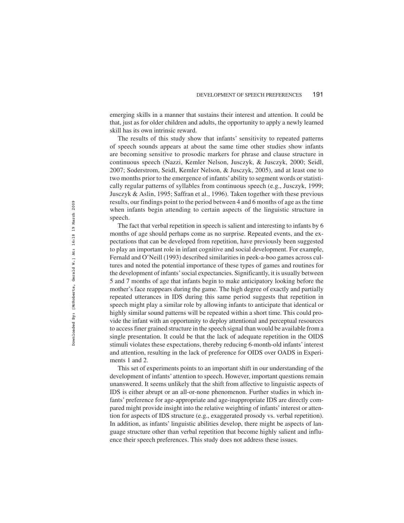emerging skills in a manner that sustains their interest and attention. It could be that, just as for older children and adults, the opportunity to apply a newly learned skill has its own intrinsic reward.

The results of this study show that infants' sensitivity to repeated patterns of speech sounds appears at about the same time other studies show infants are becoming sensitive to prosodic markers for phrase and clause structure in continuous speech (Nazzi, Kemler Nelson, Jusczyk, & Jusczyk, 2000; Seidl, 2007; Soderstrom, Seidl, Kemler Nelson, & Jusczyk, 2005), and at least one to two months prior to the emergence of infants'ability to segment words or statistically regular patterns of syllables from continuous speech (e.g., Jusczyk, 1999; Jusczyk & Aslin, 1995; Saffran et al., 1996). Taken together with these previous results, our findings point to the period between 4 and 6 months of age as the time when infants begin attending to certain aspects of the linguistic structure in speech.

The fact that verbal repetition in speech is salient and interesting to infants by 6 months of age should perhaps come as no surprise. Repeated events, and the expectations that can be developed from repetition, have previously been suggested to play an important role in infant cognitive and social development. For example, Fernald and O'Neill (1993) described similarities in peek-a-boo games across cultures and noted the potential importance of these types of games and routines for the development of infants'social expectancies. Significantly, it is usually between 5 and 7 months of age that infants begin to make anticipatory looking before the mother's face reappears during the game. The high degree of exactly and partially repeated utterances in IDS during this same period suggests that repetition in speech might play a similar role by allowing infants to anticipate that identical or highly similar sound patterns will be repeated within a short time. This could provide the infant with an opportunity to deploy attentional and perceptual resources to access finer grained structure in the speech signal than would be available from a single presentation. It could be that the lack of adequate repetition in the OIDS stimuli violates these expectations, thereby reducing 6-month-old infants' interest and attention, resulting in the lack of preference for OIDS over OADS in Experiments 1 and 2.

This set of experiments points to an important shift in our understanding of the development of infants' attention to speech. However, important questions remain unanswered. It seems unlikely that the shift from affective to linguistic aspects of IDS is either abrupt or an all-or-none phenomenon. Further studies in which infants' preference for age-appropriate and age-inappropriate IDS are directly compared might provide insight into the relative weighting of infants' interest or attention for aspects of IDS structure (e.g., exaggerated prosody vs. verbal repetition). In addition, as infants' linguistic abilities develop, there might be aspects of language structure other than verbal repetition that become highly salient and influence their speech preferences. This study does not address these issues.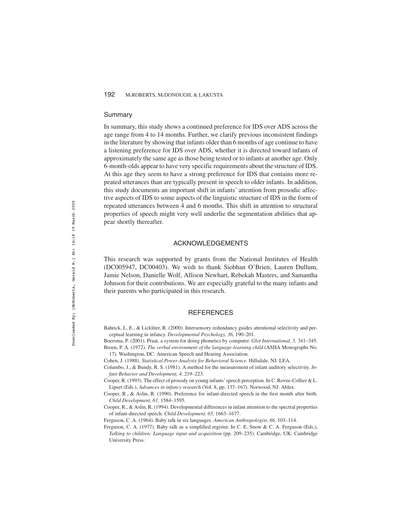#### Summary

In summary, this study shows a continued preference for IDS over ADS across the age range from 4 to 14 months. Further, we clarify previous inconsistent findings in the literature by showing that infants older than 6 months of age continue to have a listening preference for IDS over ADS, whether it is directed toward infants of approximately the same age as those being tested or to infants at another age. Only 6-month-olds appear to have very specific requirements about the structure of IDS. At this age they seem to have a strong preference for IDS that contains more repeated utterances than are typically present in speech to older infants. In addition, this study documents an important shift in infants' attention from prosodic affective aspects of IDS to some aspects of the linguistic structure of IDS in the form of repeated utterances between 4 and 6 months. This shift in attention to structural properties of speech might very well underlie the segmentation abilities that appear shortly thereafter.

# ACKNOWLEDGEMENTS

This research was supported by grants from the National Institutes of Health (DC005947, DC00403). We wish to thank Siobhan O'Brien, Lauren Dullum, Jamie Nelson, Danielle Wolf, Allison Newhart, Rebekah Masters, and Samantha Johnson for their contributions. We are especially grateful to the many infants and their parents who participated in this research.

# **REFERENCES**

- Bahrick, L. E., & Lickliter, R. (2000). Intersensory redundancy guides attentional selectivity and perceptual learning in infancy. *Developmental Psychology, 36,* 190–201.
- Boersma, P. (2001). Praat, a system for doing phonetics by computer. *Glot International, 5,* 341–345. Broen, P. A. (1972). *The verbal environment of the language-learning child* (ASHA Monographs No. 17)*.* Washington, DC: American Speech and Hearing Association.
- Cohen, J. (1988). *Statistical Power Analysis for Behavioral Science.* Hillsdale, NJ: LEA.
- Columbo, J., & Bundy, R. S. (1981). A method for the measurement of infant auditory selectivity. *Infant Behavior and Development, 4,* 219–223.
- Cooper, R. (1993). The effect of prosody on young infants'speech perception. In C. Rovee-Collier & L. Lipset (Eds.), *Advances in infancy research* (Vol. 8, pp. 137–167). Norwood, NJ: Ablex.
- Cooper, R., & Aslin, R. (1990). Preference for infant-directed speech in the first month after birth. *Child Development, 61,* 1584–1595.
- Cooper, R., & Aslin, R. (1994). Developmental differences in infant attention to the spectral properties of infant-directed speech. *Child Development, 65,* 1663–1677.
- Ferguson, C. A. (1964). Baby talk in six languages. *American Anthropologist, 66,* 103–114.
- Ferguson, C. A. (1977). Baby talk as a simplified register. In C. E. Snow & C. A. Ferguson (Eds.), *Talking to children: Language input and acquisition* (pp. 209–235). Cambridge, UK: Cambridge University Press.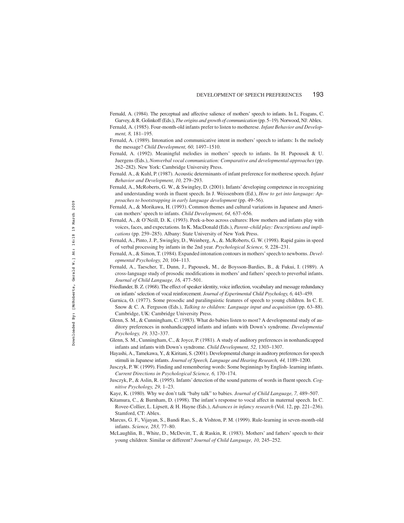Fernald, A. (1984). The perceptual and affective salience of mothers' speech to infants. In L. Feagans, C. Garvey, & R. Golinkoff (Eds.),*The origins and growth of communication*(pp. 5–19). Norwood, NJ: Ablex. Fernald, A. (1985). Four-month-old infants prefer to listen to motherese. *Infant Behavior and Develop-*

*ment, 8,* 181–195.

- Fernald, A. (1989). Intonation and communicative intent in mothers' speech to infants: Is the melody the message? *Child Development, 60,* 1497–1510.
- Fernald, A. (1992). Meaningful melodies in mothers' speech to infants. In H. Papousek & U. Juergens (Eds.), *Nonverbal vocal communication: Comparative and developmental approaches*(pp. 262–282). New York: Cambridge University Press.
- Fernald. A., & Kuhl, P. (1987). Acoustic determinants of infant preference for motherese speech. *Infant Behavior and Development, 10,* 279–293.
- Fernald, A., McRoberts, G. W., & Swingley, D. (2001). Infants' developing competence in recognizing and understanding words in fluent speech. In J. Weissenborn (Ed.), *How to get into language: Approaches to bootstrapping in early language development* (pp. 49–56).
- Fernald, A., & Morikawa, H. (1993). Common themes and cultural variations in Japanese and American mothers' speech to infants. *Child Development, 64,* 637–656.
- Fernald, A., & O'Neill, D. K. (1993). Peek-a-boo across cultures: How mothers and infants play with voices, faces, and expectations. In K. MacDonald (Eds.), *Parent–child play: Descriptions and implications* (pp. 259–285). Albany: State University of New York Press.
- Fernald, A., Pinto, J. P., Swingley, D., Weinberg, A., &. McRoberts, G. W. (1998). Rapid gains in speed of verbal processing by infants in the 2nd year. *Psychological Science, 9,* 228–231.
- Fernald, A., & Simon, T. (1984). Expanded intonation contours in mothers'speech to newborns. *Developmental Psychology, 20,* 104–113.
- Fernald, A., Taescher, T., Dunn, J., Papousek, M., de Boysson-Bardies, B., & Fukui, I. (1989). A cross-language study of prosodic modifications in mothers' and fathers' speech to preverbal infants. *Journal of Child Language, 16,* 477–501.
- Friedlander, B. Z. (1968). The effect of speaker identity, voice inflection, vocabulary and message redundancy on infants' selection of vocal reinforcement. *Journal of Experimental Child Psychology, 6,* 443–459.
- Garnica, O. (1977). Some prosodic and paralinguistic features of speech to young children. In C. E. Snow & C. A. Ferguson (Eds.), *Talking to children: Language input and acquisition* (pp. 63–88). Cambridge, UK: Cambridge University Press.
- Glenn, S. M., & Cunningham, C. (1983). What do babies listen to most? A developmental study of auditory preferences in nonhandicapped infants and infants with Down's syndrome. *Developmental Psychology, 19,* 332–337.
- Glenn, S. M., Cunningham, C., & Joyce, P. (1981). A study of auditory preferences in nonhandicapped infants and infants with Down's syndrome. *Child Development, 52,* 1303–1307.
- Hayashi, A., Tamekawa, Y., & Kiritani, S. (2001). Developmental change in auditory preferences for speech stimuli in Japanese infants. *Journal of Speech, Language and Hearing Research, 44,* 1189–1200.
- Jusczyk, P. W. (1999). Finding and remembering words: Some beginnings by English- learning infants. *Current Directions in Psychological Science, 6,* 170–174.
- Jusczyk, P., & Aslin, R. (1995). Infants' detection of the sound patterns of words in fluent speech. *Cognitive Psychology, 29,* 1–23.
- Kaye, K. (1980). Why we don't talk "baby talk" to babies. *Journal of Child Language, 7,* 489–507.
- Kitamura, C., & Burnham, D. (1998). The infant's response to vocal affect in maternal speech. In C. Rovee-Collier, L. Lipsett, & H. Hayne (Eds.), *Advances in infancy research* (Vol. 12, pp. 221–236). Stamford, CT: Ablex.
- Marcus, G. F., Vijayan, S., Bandi Rao, S., & Vishton, P. M. (1999). Rule-learning in seven-month-old infants. *Science, 283,* 77–80.
- McLaughlin, B., White, D., McDevitt, T., & Raskin, R. (1983). Mothers' and fathers' speech to their young children: Similar or different? *Journal of Child Language, 10,* 245–252.